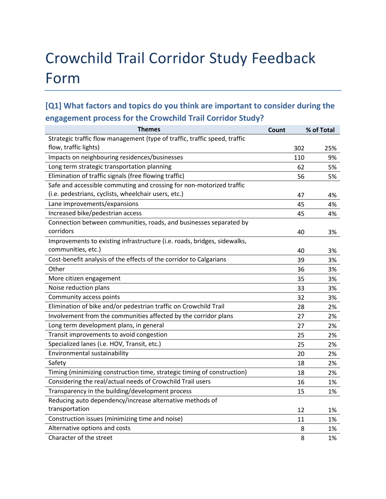# Crowchild Trail Corridor Study Feedback Form

# **[Q1] What factors and topics do you think are important to consider during the engagement process for the Crowchild Trail Corridor Study?**

| <b>Themes</b>                                                              | Count |     | % of Total |
|----------------------------------------------------------------------------|-------|-----|------------|
| Strategic traffic flow management (type of traffic, traffic speed, traffic |       |     |            |
| flow, traffic lights)                                                      |       | 302 | 25%        |
| Impacts on neighbouring residences/businesses                              |       | 110 | 9%         |
| Long term strategic transportation planning                                |       | 62  | 5%         |
| Elimination of traffic signals (free flowing traffic)                      |       | 56  | 5%         |
| Safe and accessible commuting and crossing for non-motorized traffic       |       |     |            |
| (i.e. pedestrians, cyclists, wheelchair users, etc.)                       |       | 47  | 4%         |
| Lane improvements/expansions                                               |       | 45  | 4%         |
| Increased bike/pedestrian access                                           |       | 45  | 4%         |
| Connection between communities, roads, and businesses separated by         |       |     |            |
| corridors                                                                  |       | 40  | 3%         |
| Improvements to existing infrastructure (i.e. roads, bridges, sidewalks,   |       |     |            |
| communities, etc.)                                                         |       | 40  | 3%         |
| Cost-benefit analysis of the effects of the corridor to Calgarians         |       | 39  | 3%         |
| Other                                                                      |       | 36  | 3%         |
| More citizen engagement                                                    |       | 35  | 3%         |
| Noise reduction plans                                                      |       | 33  | 3%         |
| Community access points                                                    |       | 32  | 3%         |
| Elimination of bike and/or pedestrian traffic on Crowchild Trail           |       | 28  | 2%         |
| Involvement from the communities affected by the corridor plans            |       | 27  | 2%         |
| Long term development plans, in general                                    |       | 27  | 2%         |
| Transit improvements to avoid congestion                                   |       | 25  | 2%         |
| Specialized lanes (i.e. HOV, Transit, etc.)                                |       | 25  | 2%         |
| Environmental sustainability                                               |       | 20  | 2%         |
| Safety                                                                     |       | 18  | 2%         |
| Timing (minimizing construction time, strategic timing of construction)    |       | 18  | 2%         |
| Considering the real/actual needs of Crowchild Trail users                 |       | 16  | 1%         |
| Transparency in the building/development process                           |       | 15  | 1%         |
| Reducing auto dependency/increase alternative methods of                   |       |     |            |
| transportation                                                             |       | 12  | 1%         |
| Construction issues (minimizing time and noise)                            |       | 11  | 1%         |
| Alternative options and costs                                              |       | 8   | 1%         |
| Character of the street                                                    |       | 8   | 1%         |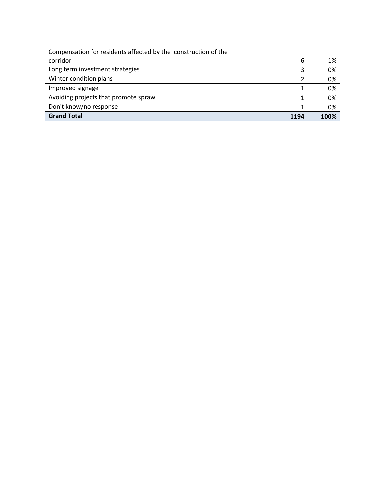| Compensation for residents affected by the construction of the |      |      |
|----------------------------------------------------------------|------|------|
| corridor                                                       | 6    | 1%   |
| Long term investment strategies                                |      | 0%   |
| Winter condition plans                                         |      | 0%   |
| Improved signage                                               |      | 0%   |
| Avoiding projects that promote sprawl                          |      | 0%   |
| Don't know/no response                                         |      | 0%   |
| <b>Grand Total</b>                                             | 1194 | 100% |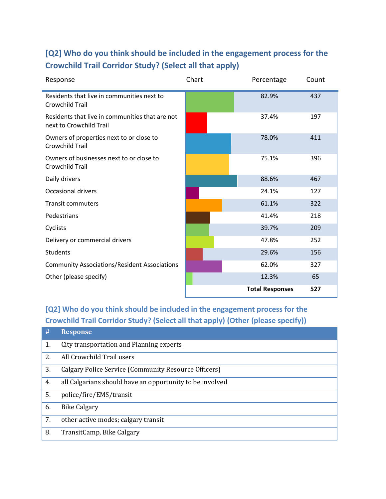# **[Q2] Who do you think should be included in the engagement process for the Crowchild Trail Corridor Study? (Select all that apply)**

| Response                                                                   | Chart | Percentage             | Count |
|----------------------------------------------------------------------------|-------|------------------------|-------|
| Residents that live in communities next to<br><b>Crowchild Trail</b>       |       | 82.9%                  | 437   |
| Residents that live in communities that are not<br>next to Crowchild Trail |       | 37.4%                  | 197   |
| Owners of properties next to or close to<br><b>Crowchild Trail</b>         |       | 78.0%                  | 411   |
| Owners of businesses next to or close to<br>Crowchild Trail                |       | 75.1%                  | 396   |
| Daily drivers                                                              |       | 88.6%                  | 467   |
| <b>Occasional drivers</b>                                                  |       | 24.1%                  | 127   |
| <b>Transit commuters</b>                                                   |       | 61.1%                  | 322   |
| Pedestrians                                                                |       | 41.4%                  | 218   |
| Cyclists                                                                   |       | 39.7%                  | 209   |
| Delivery or commercial drivers                                             |       | 47.8%                  | 252   |
| <b>Students</b>                                                            |       | 29.6%                  | 156   |
| <b>Community Associations/Resident Associations</b>                        |       | 62.0%                  | 327   |
| Other (please specify)                                                     |       | 12.3%                  | 65    |
|                                                                            |       | <b>Total Responses</b> | 527   |

**[Q2] Who do you think should be included in the engagement process for the Crowchild Trail Corridor Study? (Select all that apply) (Other (please specify))**

| #  | <b>Response</b>                                          |
|----|----------------------------------------------------------|
| 1. | City transportation and Planning experts                 |
| 2. | All Crowchild Trail users                                |
| 3. | Calgary Police Service (Community Resource Officers)     |
| 4. | all Calgarians should have an opportunity to be involved |
| 5. | police/fire/EMS/transit                                  |
| 6. | <b>Bike Calgary</b>                                      |
| 7. | other active modes; calgary transit                      |
| 8. | TransitCamp, Bike Calgary                                |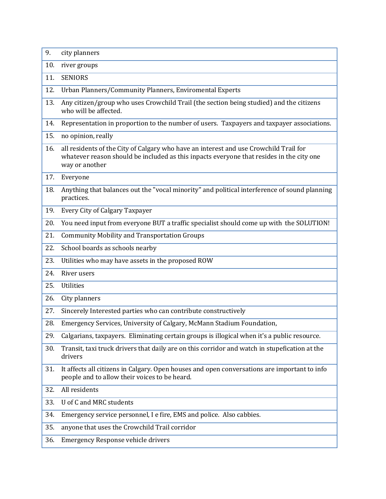| 9.  | city planners                                                                                                                                                                                       |
|-----|-----------------------------------------------------------------------------------------------------------------------------------------------------------------------------------------------------|
| 10. | river groups                                                                                                                                                                                        |
| 11. | <b>SENIORS</b>                                                                                                                                                                                      |
| 12. | Urban Planners/Community Planners, Enviromental Experts                                                                                                                                             |
| 13. | Any citizen/group who uses Crowchild Trail (the section being studied) and the citizens<br>who will be affected.                                                                                    |
| 14. | Representation in proportion to the number of users. Taxpayers and taxpayer associations.                                                                                                           |
| 15. | no opinion, really                                                                                                                                                                                  |
| 16. | all residents of the City of Calgary who have an interest and use Crowchild Trail for<br>whatever reason should be included as this inpacts everyone that resides in the city one<br>way or another |
| 17. | Everyone                                                                                                                                                                                            |
| 18. | Anything that balances out the "vocal minority" and political interference of sound planning<br>practices.                                                                                          |
| 19. | Every City of Calgary Taxpayer                                                                                                                                                                      |
| 20. | You need input from everyone BUT a traffic specialist should come up with the SOLUTION!                                                                                                             |
| 21. | <b>Community Mobility and Transportation Groups</b>                                                                                                                                                 |
| 22. | School boards as schools nearby                                                                                                                                                                     |
| 23. | Utilities who may have assets in the proposed ROW                                                                                                                                                   |
| 24. | River users                                                                                                                                                                                         |
| 25. | <b>Utilities</b>                                                                                                                                                                                    |
| 26. | City planners                                                                                                                                                                                       |
| 27. | Sincerely Interested parties who can contribute constructively                                                                                                                                      |
| 28. | Emergency Services, University of Calgary, McMann Stadium Foundation,                                                                                                                               |
| 29. | Calgarians, taxpayers. Eliminating certain groups is illogical when it's a public resource.                                                                                                         |
| 30. | Transit, taxi truck drivers that daily are on this corridor and watch in stupefication at the<br>drivers                                                                                            |
| 31. | It affects all citizens in Calgary. Open houses and open conversations are important to info<br>people and to allow their voices to be heard.                                                       |
| 32. | All residents                                                                                                                                                                                       |
| 33. | U of C and MRC students                                                                                                                                                                             |
| 34. | Emergency service personnel, I e fire, EMS and police. Also cabbies.                                                                                                                                |
| 35. | anyone that uses the Crowchild Trail corridor                                                                                                                                                       |
| 36. | Emergency Response vehicle drivers                                                                                                                                                                  |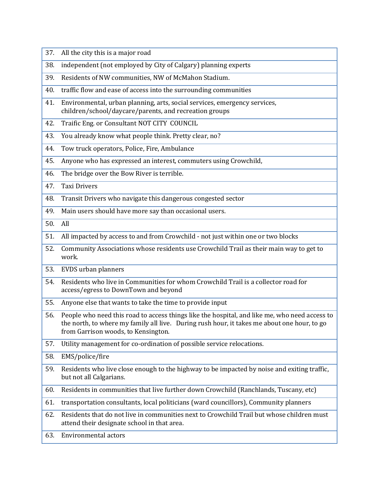| independent (not employed by City of Calgary) planning experts<br>38.<br>Residents of NW communities, NW of McMahon Stadium.<br>39.<br>traffic flow and ease of access into the surrounding communities<br>40.<br>Environmental, urban planning, arts, social services, emergency services,<br>41.<br>children/school/daycare/parents, and recreation groups<br>Traific Eng. or Consultant NOT CITY COUNCIL<br>42.<br>You already know what people think. Pretty clear, no?<br>43.<br>Tow truck operators, Police, Fire, Ambulance<br>44.<br>45.<br>Anyone who has expressed an interest, commuters using Crowchild,<br>The bridge over the Bow River is terrible.<br>46. |
|---------------------------------------------------------------------------------------------------------------------------------------------------------------------------------------------------------------------------------------------------------------------------------------------------------------------------------------------------------------------------------------------------------------------------------------------------------------------------------------------------------------------------------------------------------------------------------------------------------------------------------------------------------------------------|
|                                                                                                                                                                                                                                                                                                                                                                                                                                                                                                                                                                                                                                                                           |
|                                                                                                                                                                                                                                                                                                                                                                                                                                                                                                                                                                                                                                                                           |
|                                                                                                                                                                                                                                                                                                                                                                                                                                                                                                                                                                                                                                                                           |
|                                                                                                                                                                                                                                                                                                                                                                                                                                                                                                                                                                                                                                                                           |
|                                                                                                                                                                                                                                                                                                                                                                                                                                                                                                                                                                                                                                                                           |
|                                                                                                                                                                                                                                                                                                                                                                                                                                                                                                                                                                                                                                                                           |
|                                                                                                                                                                                                                                                                                                                                                                                                                                                                                                                                                                                                                                                                           |
|                                                                                                                                                                                                                                                                                                                                                                                                                                                                                                                                                                                                                                                                           |
|                                                                                                                                                                                                                                                                                                                                                                                                                                                                                                                                                                                                                                                                           |
| <b>Taxi Drivers</b><br>47.                                                                                                                                                                                                                                                                                                                                                                                                                                                                                                                                                                                                                                                |
| 48.<br>Transit Drivers who navigate this dangerous congested sector                                                                                                                                                                                                                                                                                                                                                                                                                                                                                                                                                                                                       |
| Main users should have more say than occasional users.<br>49.                                                                                                                                                                                                                                                                                                                                                                                                                                                                                                                                                                                                             |
| All<br>50.                                                                                                                                                                                                                                                                                                                                                                                                                                                                                                                                                                                                                                                                |
| All impacted by access to and from Crowchild - not just within one or two blocks<br>51.                                                                                                                                                                                                                                                                                                                                                                                                                                                                                                                                                                                   |
| Community Associations whose residents use Crowchild Trail as their main way to get to<br>52.<br>work.                                                                                                                                                                                                                                                                                                                                                                                                                                                                                                                                                                    |
| 53.<br>EVDS urban planners                                                                                                                                                                                                                                                                                                                                                                                                                                                                                                                                                                                                                                                |
| Residents who live in Communities for whom Crowchild Trail is a collector road for<br>54.<br>access/egress to DownTown and beyond                                                                                                                                                                                                                                                                                                                                                                                                                                                                                                                                         |
| 55.<br>Anyone else that wants to take the time to provide input                                                                                                                                                                                                                                                                                                                                                                                                                                                                                                                                                                                                           |
| People who need this road to access things like the hospital, and like me, who need access to<br>56.<br>the north, to where my family all live. During rush hour, it takes me about one hour, to go<br>from Garrison woods, to Kensington.                                                                                                                                                                                                                                                                                                                                                                                                                                |
| Utility management for co-ordination of possible service relocations.<br>57.                                                                                                                                                                                                                                                                                                                                                                                                                                                                                                                                                                                              |
| 58.<br>EMS/police/fire                                                                                                                                                                                                                                                                                                                                                                                                                                                                                                                                                                                                                                                    |
| Residents who live close enough to the highway to be impacted by noise and exiting traffic,<br>59.<br>but not all Calgarians.                                                                                                                                                                                                                                                                                                                                                                                                                                                                                                                                             |
| Residents in communities that live further down Crowchild (Ranchlands, Tuscany, etc)<br>60.                                                                                                                                                                                                                                                                                                                                                                                                                                                                                                                                                                               |
| transportation consultants, local politicians (ward councillors), Community planners<br>61.                                                                                                                                                                                                                                                                                                                                                                                                                                                                                                                                                                               |
| Residents that do not live in communities next to Crowchild Trail but whose children must<br>62.<br>attend their designate school in that area.                                                                                                                                                                                                                                                                                                                                                                                                                                                                                                                           |
| Environmental actors<br>63.                                                                                                                                                                                                                                                                                                                                                                                                                                                                                                                                                                                                                                               |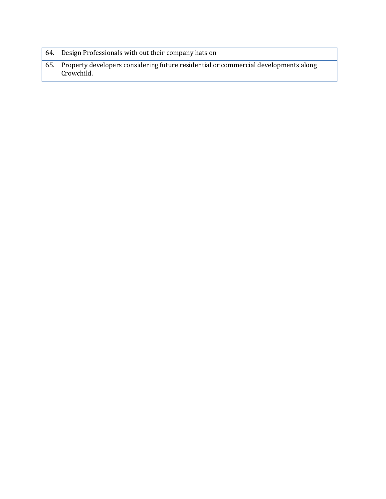- 64. Design Professionals with out their company hats on
- 65. Property developers considering future residential or commercial developments along Crowchild.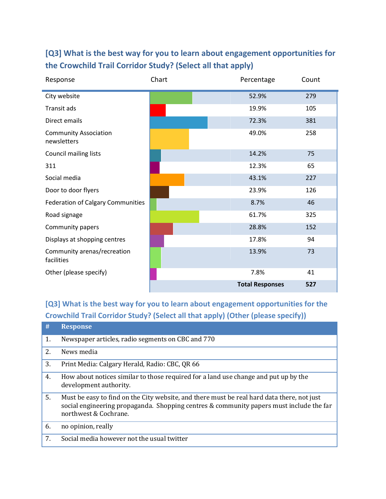| Response                                    | Chart | Percentage             | Count |
|---------------------------------------------|-------|------------------------|-------|
| City website                                |       | 52.9%                  | 279   |
| Transit ads                                 |       | 19.9%                  | 105   |
| Direct emails                               |       | 72.3%                  | 381   |
| <b>Community Association</b><br>newsletters |       | 49.0%                  | 258   |
| Council mailing lists                       |       | 14.2%                  | 75    |
| 311                                         |       | 12.3%                  | 65    |
| Social media                                |       | 43.1%                  | 227   |
| Door to door flyers                         |       | 23.9%                  | 126   |
| <b>Federation of Calgary Communities</b>    |       | 8.7%                   | 46    |
| Road signage                                |       | 61.7%                  | 325   |
| Community papers                            |       | 28.8%                  | 152   |
| Displays at shopping centres                |       | 17.8%                  | 94    |
| Community arenas/recreation<br>facilities   |       | 13.9%                  | 73    |
| Other (please specify)                      |       | 7.8%                   | 41    |
|                                             |       | <b>Total Responses</b> | 527   |

### **[Q3] What is the best way for you to learn about engagement opportunities for the Crowchild Trail Corridor Study? (Select all that apply)**

**[Q3] What is the best way for you to learn about engagement opportunities for the Crowchild Trail Corridor Study? (Select all that apply) (Other (please specify))**

| #  | <b>Response</b>                                                                                                                                                                                                |
|----|----------------------------------------------------------------------------------------------------------------------------------------------------------------------------------------------------------------|
| 1. | Newspaper articles, radio segments on CBC and 770                                                                                                                                                              |
| 2. | News media                                                                                                                                                                                                     |
| 3. | Print Media: Calgary Herald, Radio: CBC, QR 66                                                                                                                                                                 |
| 4. | How about notices similar to those required for a land use change and put up by the<br>development authority.                                                                                                  |
| 5. | Must be easy to find on the City website, and there must be real hard data there, not just<br>social engineering propaganda. Shopping centres & community papers must include the far<br>northwest & Cochrane. |
| 6. | no opinion, really                                                                                                                                                                                             |
| 7. | Social media however not the usual twitter                                                                                                                                                                     |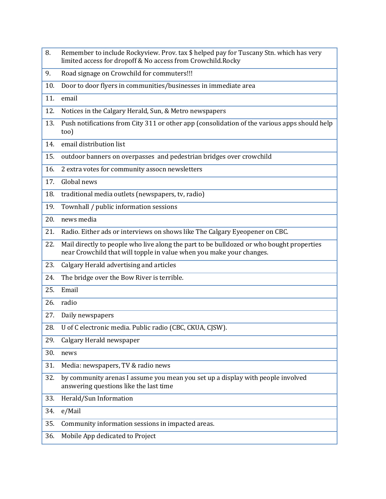- 8. Remember to include Rockyview. Prov. tax \$ helped pay for Tuscany Stn. which has very limited access for dropoff & No access from Crowchild.Rocky
- 9. Road signage on Crowchild for commuters!!!
- 10. Door to door flyers in communities/businesses in immediate area
- 11. email
- 12. Notices in the Calgary Herald, Sun, & Metro newspapers
- 13. Push notifications from City 311 or other app (consolidation of the various apps should help too)
- 14. email distribution list
- 15. outdoor banners on overpasses and pedestrian bridges over crowchild
- 16. 2 extra votes for community assocn newsletters
- 17. Global news
- 18. traditional media outlets (newspapers, tv, radio)
- 19. Townhall / public information sessions
- 20. news media
- 21. Radio. Either ads or interviews on shows like The Calgary Eyeopener on CBC.
- 22. Mail directly to people who live along the part to be bulldozed or who bought properties near Crowchild that will topple in value when you make your changes.
- 23. Calgary Herald advertising and articles
- 24. The bridge over the Bow River is terrible.
- 25. Email
- 26. radio
- 27. Daily newspapers
- 28. U of C electronic media. Public radio (CBC, CKUA, CJSW).
- 29. Calgary Herald newspaper

30. news

- 31. Media: newspapers, TV & radio news
- 32. by community arenas I assume you mean you set up a display with people involved answering questions like the last time
- 33. Herald/Sun Information

34. e/Mail

35. Community information sessions in impacted areas.

36. Mobile App dedicated to Project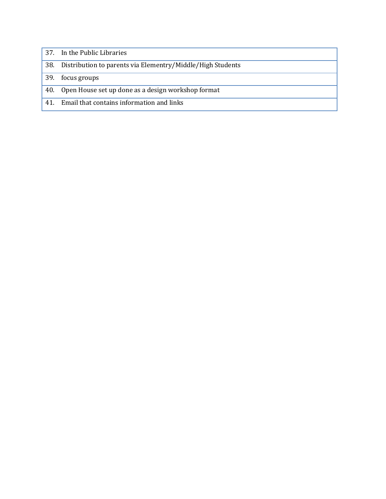|     | 37. In the Public Libraries                                |
|-----|------------------------------------------------------------|
| 38. | Distribution to parents via Elementry/Middle/High Students |
| 39. | focus groups                                               |
| 40. | Open House set up done as a design workshop format         |
| 41. | Email that contains information and links                  |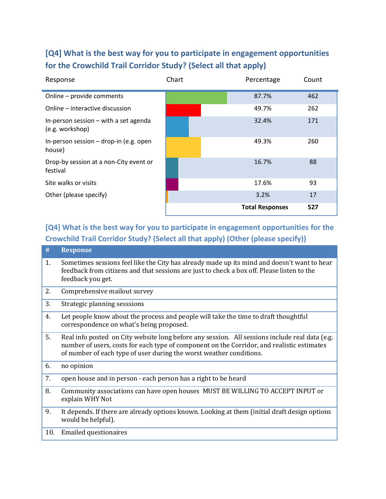#### **[Q4] What is the best way for you to participate in engagement opportunities for the Crowchild Trail Corridor Study? (Select all that apply)**

| Response                                                 | Chart | Percentage             | Count |
|----------------------------------------------------------|-------|------------------------|-------|
| Online - provide comments                                |       | 87.7%                  | 462   |
| Online – interactive discussion                          |       | 49.7%                  | 262   |
| In-person session - with a set agenda<br>(e.g. workshop) |       | 32.4%                  | 171   |
| In-person session - drop-in (e.g. open<br>house)         |       | 49.3%                  | 260   |
| Drop-by session at a non-City event or<br>festival       |       | 16.7%                  | 88    |
| Site walks or visits                                     |       | 17.6%                  | 93    |
| Other (please specify)                                   |       | 3.2%                   | 17    |
|                                                          |       | <b>Total Responses</b> | 527   |

#### **[Q4] What is the best way for you to participate in engagement opportunities for the Crowchild Trail Corridor Study? (Select all that apply) (Other (please specify))**

| #   | <b>Response</b>                                                                                                                                                                                                                                                     |
|-----|---------------------------------------------------------------------------------------------------------------------------------------------------------------------------------------------------------------------------------------------------------------------|
| 1.  | Sometimes sessions feel like the City has already made up its mind and doesn't want to hear<br>feedback from citizens and that sessions are just to check a box off. Please listen to the<br>feedback you get.                                                      |
| 2.  | Comprehensive mailout survey                                                                                                                                                                                                                                        |
| 3.  | Strategic planning sesssions                                                                                                                                                                                                                                        |
| 4.  | Let people know about the process and people will take the time to draft thoughtful<br>correspondence on what's being proposed.                                                                                                                                     |
| 5.  | Real info posted on City website long before any session. All sessions include real data (e.g.<br>number of users, costs for each type of component on the Corridor, and realistic estimates<br>of number of each type of user during the worst weather conditions. |
| 6.  | no opinion                                                                                                                                                                                                                                                          |
| 7.  | open house and in person - each person has a right to be heard                                                                                                                                                                                                      |
| 8.  | Community associations can have open houses MUST BE WILLING TO ACCEPT INPUT or<br>explain WHY Not                                                                                                                                                                   |
| 9.  | It depends. If there are already options known. Looking at them (initial draft design options<br>would be helpful).                                                                                                                                                 |
| 10. | <b>Emailed questionaires</b>                                                                                                                                                                                                                                        |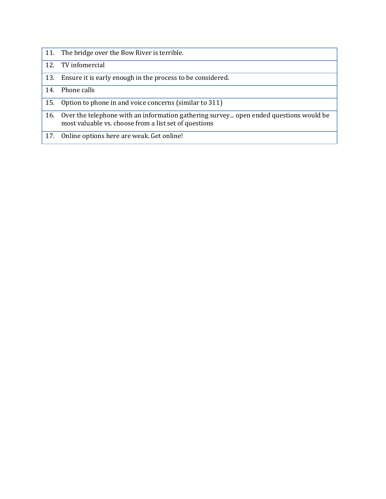- 11. The bridge over the Bow River is terrible.
- 12. TV infomercial
- 13. Ensure it is early enough in the process to be considered.
- 14. Phone calls
- 15. Option to phone in and voice concerns (similar to 311)
- 16. Over the telephone with an information gathering survey... open ended questions would be most valuable vs. choose from a list set of questions
- 17. Online options here are weak. Get online!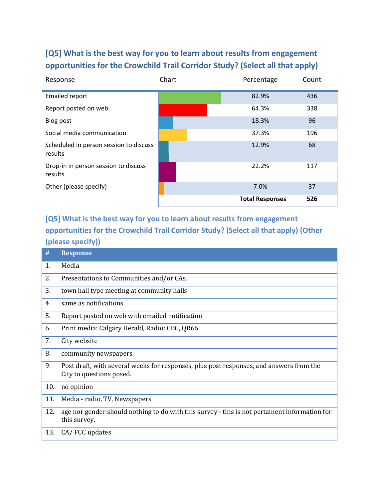### **[Q5] What is the best way for you to learn about results from engagement opportunities for the Crowchild Trail Corridor Study? (Select all that apply)**

| Response                                          | Chart | Percentage             | Count |
|---------------------------------------------------|-------|------------------------|-------|
| <b>Emailed report</b>                             |       | 82.9%                  | 436   |
| Report posted on web                              |       | 64.3%                  | 338   |
| Blog post                                         |       | 18.3%                  | 96    |
| Social media communication                        |       | 37.3%                  | 196   |
| Scheduled in person session to discuss<br>results |       | 12.9%                  | 68    |
| Drop-in in person session to discuss<br>results   |       | 22.2%                  | 117   |
| Other (please specify)                            |       | 7.0%                   | 37    |
|                                                   |       | <b>Total Responses</b> | 526   |

**[Q5] What is the best way for you to learn about results from engagement opportunities for the Crowchild Trail Corridor Study? (Select all that apply) (Other (please specify))**

| #   | <b>Response</b>                                                                                                     |
|-----|---------------------------------------------------------------------------------------------------------------------|
| 1.  | Media                                                                                                               |
| 2.  | Presentations to Communities and/or CAs.                                                                            |
| 3.  | town hall type meeting at community halls                                                                           |
| 4.  | same as notifications                                                                                               |
| 5.  | Report posted on web with emailed notification                                                                      |
| 6.  | Print media: Calgary Herald, Radio: CBC, QR66                                                                       |
| 7.  | City website                                                                                                        |
| 8.  | community newspapers                                                                                                |
| 9.  | Post draft, with several weeks for responses, plus post responses, and answers from the<br>City to questions posed. |
| 10. | no opinion                                                                                                          |
| 11. | Media - radio, TV, Newspapers                                                                                       |
| 12. | age nor gender should nothing to do with this survey - this is not pertainent information for<br>this survey.       |
| 13. | CA/FCC updates                                                                                                      |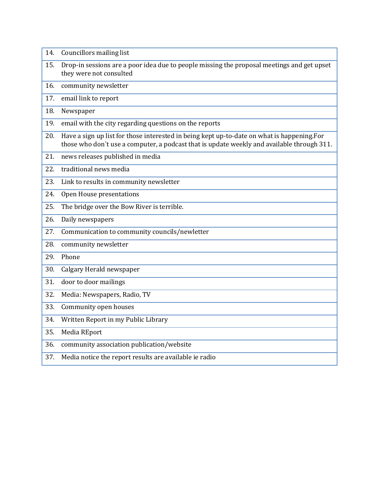| 14. | Councillors mailing list                                                                                                                                                                 |
|-----|------------------------------------------------------------------------------------------------------------------------------------------------------------------------------------------|
| 15. | Drop-in sessions are a poor idea due to people missing the proposal meetings and get upset<br>they were not consulted                                                                    |
| 16. | community newsletter                                                                                                                                                                     |
| 17. | email link to report                                                                                                                                                                     |
| 18. | Newspaper                                                                                                                                                                                |
| 19. | email with the city regarding questions on the reports                                                                                                                                   |
| 20. | Have a sign up list for those interested in being kept up-to-date on what is happening.For<br>those who don't use a computer, a podcast that is update weekly and available through 311. |
| 21. | news releases published in media                                                                                                                                                         |
| 22. | traditional news media                                                                                                                                                                   |
| 23. | Link to results in community newsletter                                                                                                                                                  |
| 24. | Open House presentations                                                                                                                                                                 |
| 25. | The bridge over the Bow River is terrible.                                                                                                                                               |
| 26. | Daily newspapers                                                                                                                                                                         |
| 27. | Communication to community councils/newletter                                                                                                                                            |
| 28. | community newsletter                                                                                                                                                                     |
| 29. | Phone                                                                                                                                                                                    |
| 30. | Calgary Herald newspaper                                                                                                                                                                 |
| 31. | door to door mailings                                                                                                                                                                    |
| 32. | Media: Newspapers, Radio, TV                                                                                                                                                             |
| 33. | Community open houses                                                                                                                                                                    |
| 34. | Written Report in my Public Library                                                                                                                                                      |
| 35. | Media REport                                                                                                                                                                             |
| 36. | community association publication/website                                                                                                                                                |
| 37. | Media notice the report results are available ie radio                                                                                                                                   |